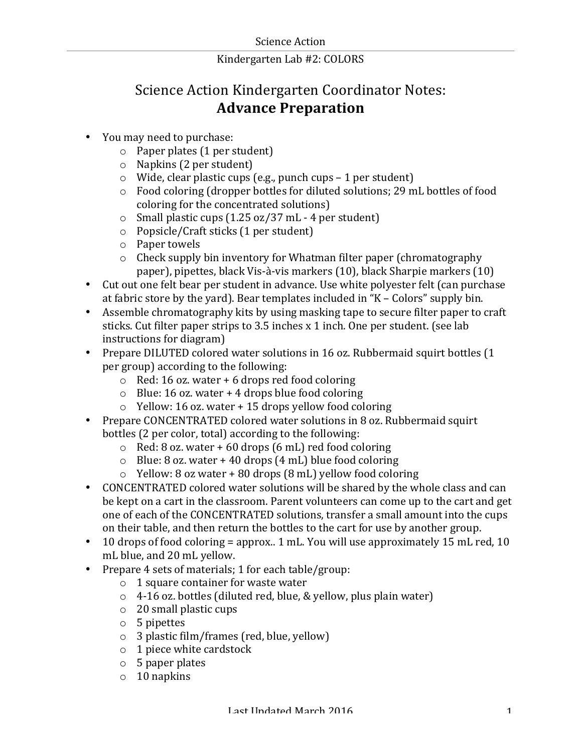# Science Action Kindergarten Coordinator Notes: **Advance Preparation**

- You may need to purchase:
	- $\circ$  Paper plates (1 per student)
	- $\circ$  Napkins (2 per student)
	- $\circ$  Wide, clear plastic cups (e.g., punch cups 1 per student)
	- $\circ$  Food coloring (dropper bottles for diluted solutions; 29 mL bottles of food coloring for the concentrated solutions)
	- $\circ$  Small plastic cups (1.25 oz/37 mL 4 per student)
	- $\circ$  Popsicle/Craft sticks (1 per student)
	- $\circ$  Paper towels
	- $\circ$  Check supply bin inventory for Whatman filter paper (chromatography paper), pipettes, black Vis-à-vis markers (10), black Sharpie markers (10)
- Cut out one felt bear per student in advance. Use white polyester felt (can purchase at fabric store by the vard). Bear templates included in " $K -$  Colors" supply bin.
- Assemble chromatography kits by using masking tape to secure filter paper to craft sticks. Cut filter paper strips to  $3.5$  inches x 1 inch. One per student. (see lab instructions for diagram)
- Prepare DILUTED colored water solutions in 16 oz. Rubbermaid squirt bottles (1) per group) according to the following:
	- $\circ$  Red: 16 oz. water + 6 drops red food coloring
	- $\circ$  Blue: 16 oz. water + 4 drops blue food coloring
	- $\circ$  Yellow: 16 oz. water + 15 drops yellow food coloring
- Prepare CONCENTRATED colored water solutions in 8 oz. Rubbermaid squirt bottles (2 per color, total) according to the following:
	- $\circ$  Red: 8 oz. water + 60 drops (6 mL) red food coloring
	- $\circ$  Blue: 8 oz. water + 40 drops (4 mL) blue food coloring
	- $\circ$  Yellow: 8 oz water + 80 drops (8 mL) yellow food coloring
- CONCENTRATED colored water solutions will be shared by the whole class and can be kept on a cart in the classroom. Parent volunteers can come up to the cart and get one of each of the CONCENTRATED solutions, transfer a small amount into the cups on their table, and then return the bottles to the cart for use by another group.
- 10 drops of food coloring = approx.. 1 mL. You will use approximately 15 mL red, 10 mL blue, and 20 mL yellow.
- Prepare 4 sets of materials; 1 for each table/group:
	- $\circ$  1 square container for waste water
	- $\circ$  4-16 oz. bottles (diluted red, blue, & yellow, plus plain water)
	- $\circ$  20 small plastic cups
	- $\circ$  5 pipettes
	- $\circ$  3 plastic film/frames (red, blue, yellow)
	- $\circ$  1 piece white cardstock
	- $\circ$  5 paper plates
	- $\circ$  10 napkins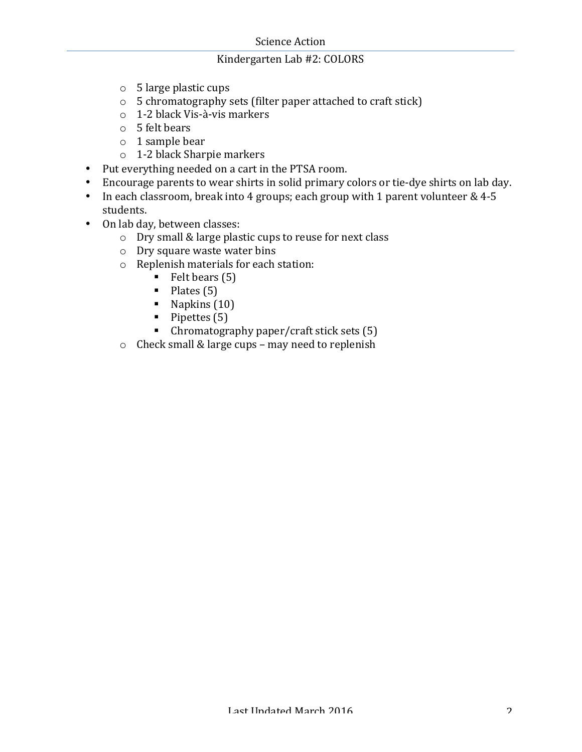- $\circ$  5 large plastic cups
- $\circ$  5 chromatography sets (filter paper attached to craft stick)
- o 1-2 black Vis-à-vis markers
- $\circ$  5 felt bears
- $\circ$  1 sample bear
- $\circ$  1-2 black Sharpie markers
- Put everything needed on a cart in the PTSA room.
- Encourage parents to wear shirts in solid primary colors or tie-dye shirts on lab day.
- In each classroom, break into 4 groups; each group with 1 parent volunteer  $& 4-5$ students.
- On lab day, between classes:
	- o Dry small & large plastic cups to reuse for next class
	- $\circ$  Dry square waste water bins
	- $\circ$  Replenish materials for each station:
		- $\blacksquare$  Felt bears (5)
		- $\blacksquare$  Plates (5)
		- $\blacksquare$  Napkins (10)
		- $\blacksquare$  Pipettes (5)
		- $\blacksquare$  Chromatography paper/craft stick sets (5)
	- $\circ$  Check small & large cups may need to replenish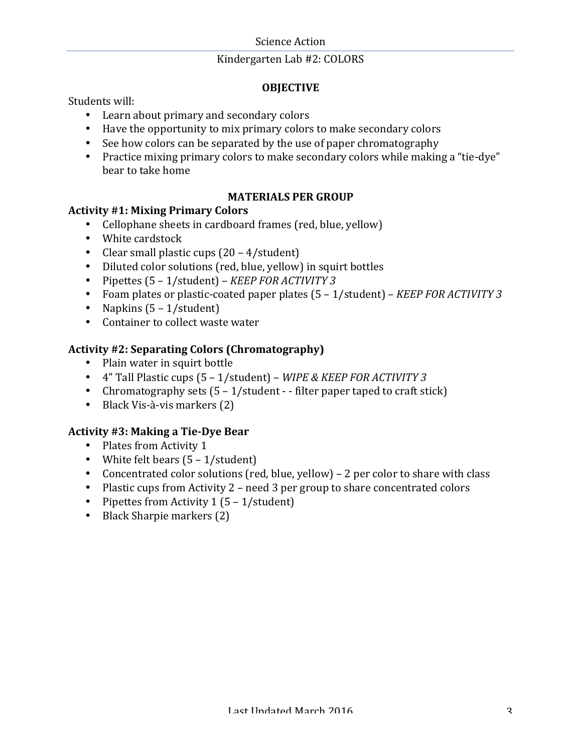#### **Science Action**

#### Kindergarten Lab #2: COLORS

## **OBJECTIVE**

Students will:

- Learn about primary and secondary colors
- Have the opportunity to mix primary colors to make secondary colors
- See how colors can be separated by the use of paper chromatography
- Practice mixing primary colors to make secondary colors while making a "tie-dye" bear to take home

#### **MATERIALS PER GROUP**

## **Activity #1: Mixing Primary Colors**

- Cellophane sheets in cardboard frames (red, blue, yellow)
- White cardstock
- Clear small plastic cups  $(20 4/\text{student})$
- Diluted color solutions (red, blue, yellow) in squirt bottles
- Pipettes  $(5 1/\text{student})$  *KEEP FOR ACTIVITY 3*
- Foam plates or plastic-coated paper plates  $(5 1/\text{student})$  *KEEP FOR ACTIVITY 3*
- Napkins  $(5 1/\text{student})$
- Container to collect waste water

# Activity #2: Separating Colors (Chromatography)

- Plain water in squirt bottle
- 4" Tall Plastic cups  $(5 1/\text{student})$  WIPE & KEEP FOR ACTIVITY 3
- Chromatography sets  $(5 1/\text{student} \text{filter paper}$  taped to craft stick)
- Black Vis-à-vis markers  $(2)$

## **Activity #3: Making a Tie-Dye Bear**

- Plates from Activity 1
- White felt bears  $(5 1/\text{student})$
- Concentrated color solutions (red, blue, yellow) 2 per color to share with class
- Plastic cups from Activity  $2$  need 3 per group to share concentrated colors
- Pipettes from Activity  $1(5 1/\text{student})$
- Black Sharpie markers (2)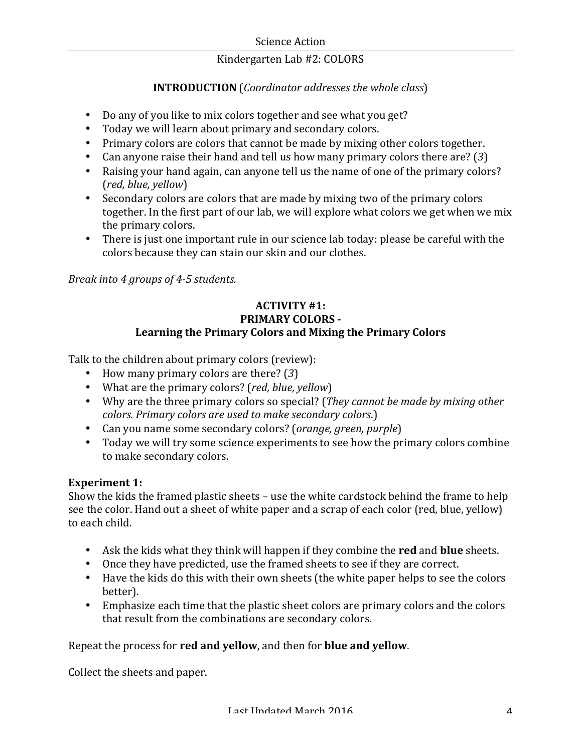# **INTRODUCTION** (*Coordinator addresses the whole class*)

- Do any of you like to mix colors together and see what you get?
- Today we will learn about primary and secondary colors.
- Primary colors are colors that cannot be made by mixing other colors together.
- Can anyone raise their hand and tell us how many primary colors there are? (3)
- Raising your hand again, can anyone tell us the name of one of the primary colors? (*red, blue, yellow*)
- Secondary colors are colors that are made by mixing two of the primary colors together. In the first part of our lab, we will explore what colors we get when we mix the primary colors.
- There is just one important rule in our science lab today: please be careful with the colors because they can stain our skin and our clothes.

*Break into 4 groups of 4-5 students.*

## **ACTIVITY #1: PRIMARY COLORS -**Learning the Primary Colors and Mixing the Primary Colors

Talk to the children about primary colors (review):

- How many primary colors are there? (3)
- What are the primary colors? (*red, blue, yellow*)
- Why are the three primary colors so special? (*They cannot be made by mixing other colors. Primary colors are used to make secondary colors.)*
- Can you name some secondary colors? (*orange, green, purple*)
- Today we will try some science experiments to see how the primary colors combine to make secondary colors.

## **Experiment 1:**

Show the kids the framed plastic sheets – use the white cardstock behind the frame to help see the color. Hand out a sheet of white paper and a scrap of each color (red, blue, yellow) to each child.

- Ask the kids what they think will happen if they combine the **red** and **blue** sheets.
- Once they have predicted, use the framed sheets to see if they are correct.
- Have the kids do this with their own sheets (the white paper helps to see the colors better).
- Emphasize each time that the plastic sheet colors are primary colors and the colors that result from the combinations are secondary colors.

## Repeat the process for **red and yellow**, and then for **blue and yellow**.

Collect the sheets and paper.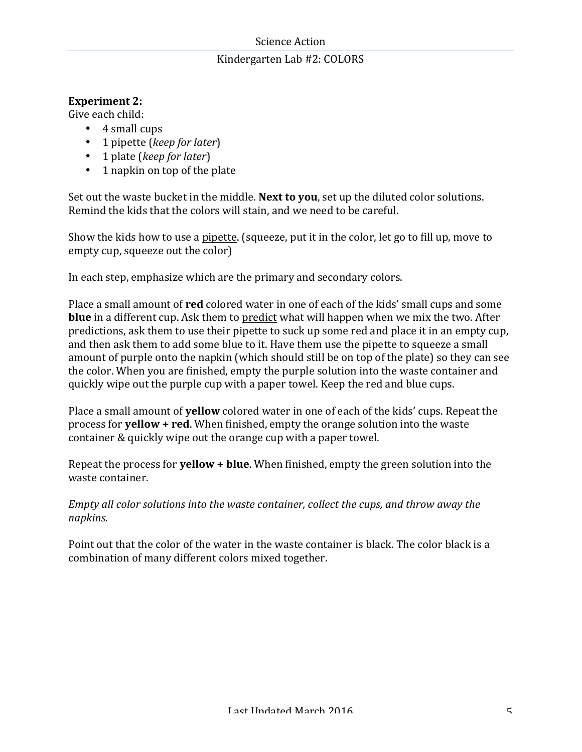#### Science Action

## Kindergarten Lab #2: COLORS

#### **Experiment 2:**

Give each child:

- $\cdot$  4 small cups
- 1 pipette (*keep for later*)
- 1 plate (*keep for later*)
- $\cdot$  1 napkin on top of the plate

Set out the waste bucket in the middle. **Next to you**, set up the diluted color solutions. Remind the kids that the colors will stain, and we need to be careful.

Show the kids how to use a pipette. (squeeze, put it in the color, let go to fill up, move to empty cup, squeeze out the color)

In each step, emphasize which are the primary and secondary colors.

Place a small amount of **red** colored water in one of each of the kids' small cups and some **blue** in a different cup. Ask them to predict what will happen when we mix the two. After predictions, ask them to use their pipette to suck up some red and place it in an empty cup, and then ask them to add some blue to it. Have them use the pipette to squeeze a small amount of purple onto the napkin (which should still be on top of the plate) so they can see the color. When you are finished, empty the purple solution into the waste container and quickly wipe out the purple cup with a paper towel. Keep the red and blue cups.

Place a small amount of **yellow** colored water in one of each of the kids' cups. Repeat the process for **yellow** + red. When finished, empty the orange solution into the waste container & quickly wipe out the orange cup with a paper towel.

Repeat the process for **yellow + blue**. When finished, empty the green solution into the waste container.

*Empty all color solutions into the waste container, collect the cups, and throw away the napkins.*

Point out that the color of the water in the waste container is black. The color black is a combination of many different colors mixed together.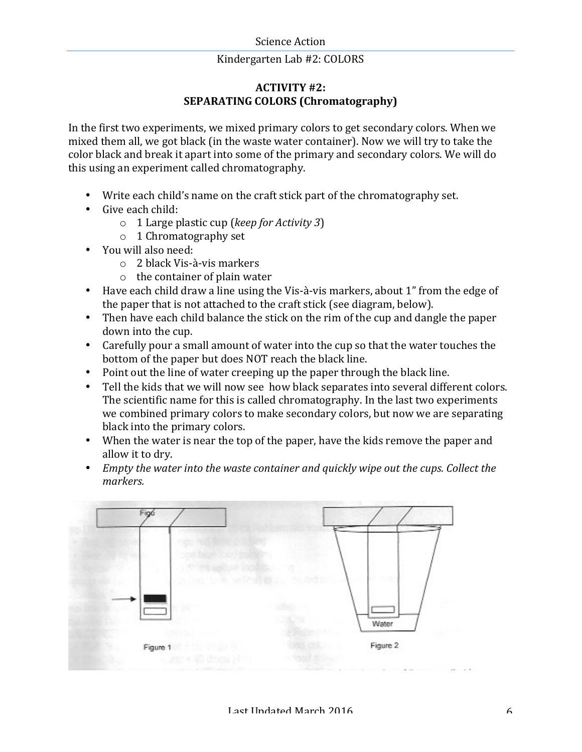## **ACTIVITY #2: SEPARATING COLORS (Chromatography)**

In the first two experiments, we mixed primary colors to get secondary colors. When we mixed them all, we got black (in the waste water container). Now we will try to take the color black and break it apart into some of the primary and secondary colors. We will do this using an experiment called chromatography.

- Write each child's name on the craft stick part of the chromatography set.
- Give each child:
	- o 1 Large plastic cup (*keep for Activity 3*)
	- $\circ$  1 Chromatography set
- You will also need:
	- $\circ$  2 black Vis-à-vis markers
	- $\circ$  the container of plain water
- Have each child draw a line using the Vis-à-vis markers, about 1" from the edge of the paper that is not attached to the craft stick (see diagram, below).
- Then have each child balance the stick on the rim of the cup and dangle the paper down into the cup.
- Carefully pour a small amount of water into the cup so that the water touches the bottom of the paper but does NOT reach the black line.
- Point out the line of water creeping up the paper through the black line.
- Tell the kids that we will now see how black separates into several different colors. The scientific name for this is called chromatography. In the last two experiments we combined primary colors to make secondary colors, but now we are separating black into the primary colors.
- When the water is near the top of the paper, have the kids remove the paper and allow it to dry.
- *Empty the water into the waste container and quickly wipe out the cups. Collect the markers.*